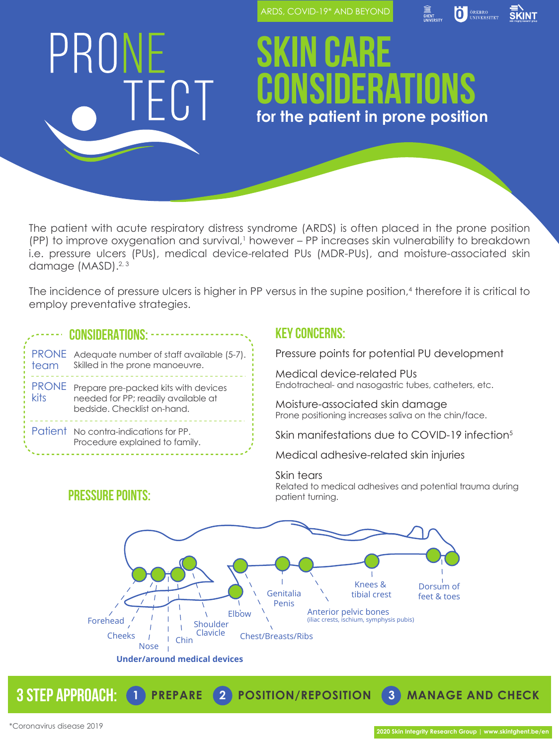ARDS, COVID-19\* AND BEYOND



# PRONE TECT

## **Skin Care Considerations for the patient in prone position**

The patient with acute respiratory distress syndrome (ARDS) is often placed in the prone position (PP) to improve oxygenation and survival,<sup>1</sup> however – PP increases skin vulnerability to breakdown i.e. pressure ulcers (PUs), medical device-related PUs (MDR-PUs), and moisture-associated skin damage (MASD).<sup>2, 3</sup>

The incidence of pressure ulcers is higher in PP versus in the supine position,4 therefore it is critical to employ preventative strategies.

### **CONSIDERATIONS:**

| ' team | PRONE Adequate number of staff available (5-7).<br>Skilled in the prone manoeuvre.                               |
|--------|------------------------------------------------------------------------------------------------------------------|
| kits   | PRONE Prepare pre-packed kits with devices<br>needed for PP; readily available at<br>bedside. Checklist on-hand. |
|        | Patient No contra-indications for PP.<br>Procedure explained to family.                                          |

### **Key concerns:**

Pressure points for potential PU development

Medical device-related PUs Endotracheal- and nasogastric tubes, catheters, etc.

Moisture-associated skin damage Prone positioning increases saliva on the chin/face.

Skin manifestations due to COVID-19 infection<sup>5</sup>

Medical adhesive-related skin injuries

### Skin tears

Related to medical adhesives and potential trauma during



**3 step approach: 1 PREPARE 2 POSITION/REPOSITION 3 MANAGE AND CHECK**

### **PRESSURE POINTS:**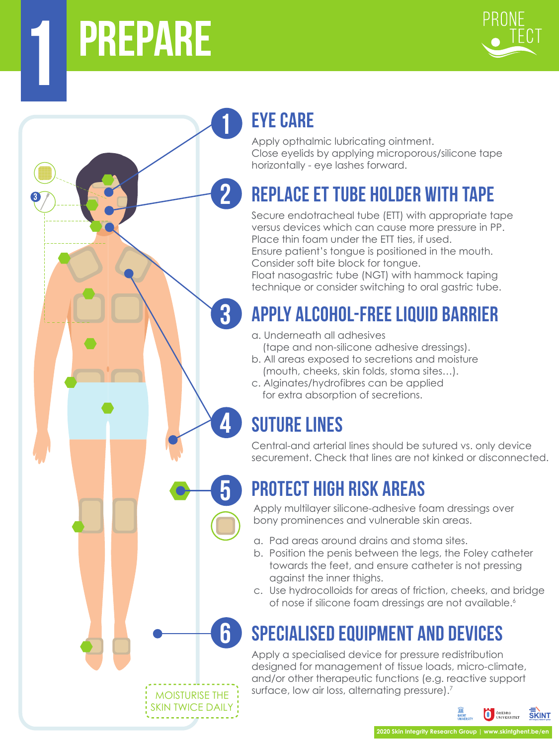# **prepare 1**

**3**



### **eye care**

**2**

**3**

**4**

**5**

**6**

**1**

Apply opthalmic lubricating ointment. Close eyelids by applying microporous/silicone tape horizontally - eye lashes forward.

### **REPLACE ET TUBE holder WITH TAPE**

Secure endotracheal tube (ETT) with appropriate tape versus devices which can cause more pressure in PP. Place thin foam under the ETT ties, if used. Ensure patient's tongue is positioned in the mouth. Consider soft bite block for tongue.

Float nasogastric tube (NGT) with hammock taping technique or consider switching to oral gastric tube.

### **Apply alcohol-free liquid barrier**

- a. Underneath all adhesives (tape and non-silicone adhesive dressings).
- b. All areas exposed to secretions and moisture (mouth, cheeks, skin folds, stoma sites…).
- c. Alginates/hydrofibres can be applied for extra absorption of secretions.

## **SUTURE LINES**

Central-and arterial lines should be sutured vs. only device securement. Check that lines are not kinked or disconnected.

## **PROTECT HIGH RISK AREAS**

Apply multilayer silicone-adhesive foam dressings over bony prominences and vulnerable skin areas.

- a. Pad areas around drains and stoma sites.
- b. Position the penis between the legs, the Foley catheter towards the feet, and ensure catheter is not pressing against the inner thighs.
- c. Use hydrocolloids for areas of friction, cheeks, and bridge of nose if silicone foam dressings are not available.<sup>6</sup>

## **SPECIALISED EQUIPMENT AND DEVICES**

Apply a specialised device for pressure redistribution designed for management of tissue loads, micro-climate, and/or other therapeutic functions (e.g. reactive support surface, low air loss, alternating pressure).<sup>7</sup>

MOISTURISE THE SKIN TWICE DAILY

### **ELECTRIC OREERO SKINT**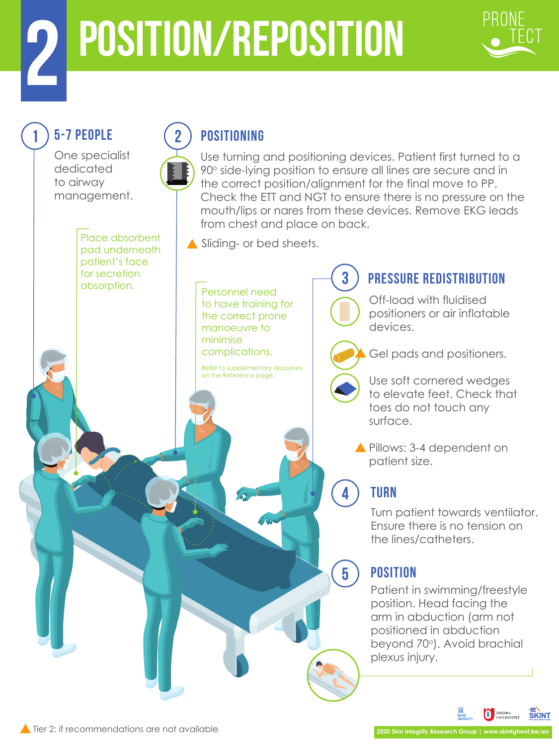# **position/reposition 2**



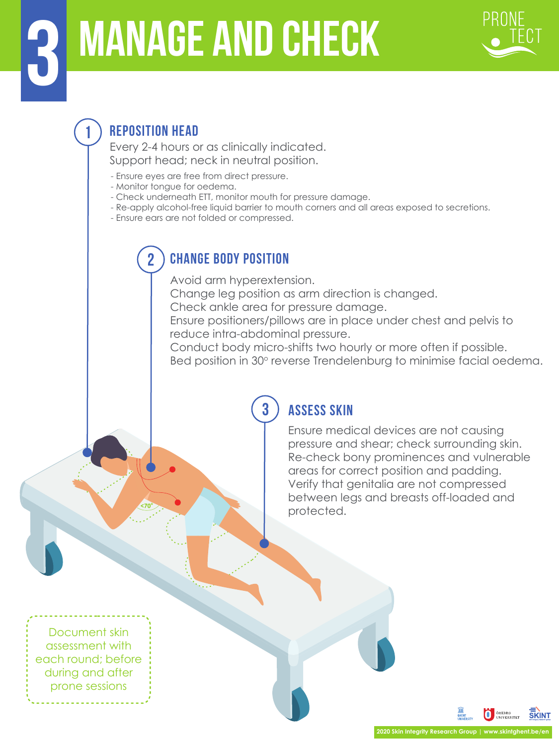# **manage and check 3**



### **1 REPOSITION HEAD**

Every 2-4 hours or as clinically indicated. Support head; neck in neutral position.

- Ensure eyes are free from direct pressure.
- Monitor tongue for oedema.
- Check underneath ETT, monitor mouth for pressure damage.
- Re-apply alcohol-free liquid barrier to mouth corners and all areas exposed to secretions.
- Ensure ears are not folded or compressed.

### **2 CHANGE BODY POSITION**

Avoid arm hyperextension.

Change leg position as arm direction is changed.

Check ankle area for pressure damage.

Ensure positioners/pillows are in place under chest and pelvis to reduce intra-abdominal pressure.

Conduct body micro-shifts two hourly or more often if possible. Bed position in 30° reverse Trendelenburg to minimise facial oedema.

### **3 Assess skin**

Ensure medical devices are not causing pressure and shear; check surrounding skin. Re-check bony prominences and vulnerable areas for correct position and padding. Verify that genitalia are not compressed between legs and breasts off-loaded and protected.

Document skin assessment with each round; before during and after prone sessions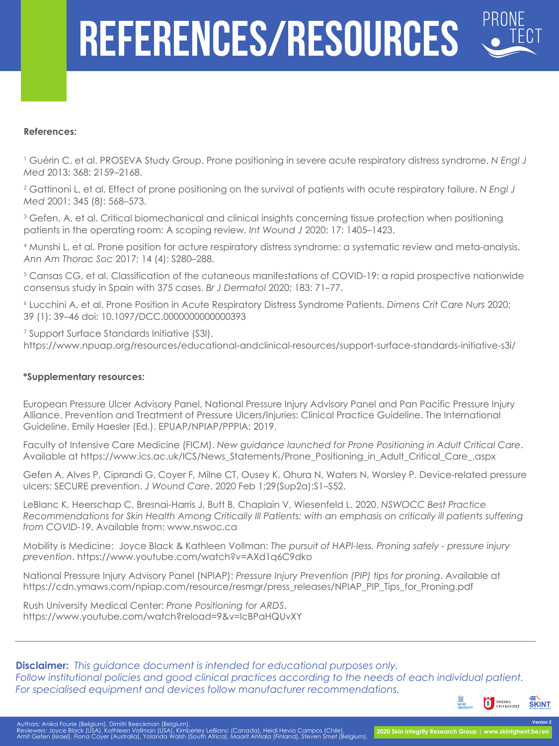# **references/resources**

#### **References:**

1 Guérin C, et al. PROSEVA Study Group. Prone positioning in severe acute respiratory distress syndrome. *N Engl J Med* 2013; 368: 2159–2168.

2 Gattinoni L, et al. Effect of prone positioning on the survival of patients with acute respiratory failure. *N Engl J Med* 2001; 345 (8): 568–573.

3 Gefen, A, et al. Critical biomechanical and clinical insights concerning tissue protection when positioning patients in the operating room: A scoping review. *Int Wound J* 2020; 17: 1405–1423.

4 Munshi L, et al. Prone position for acture respiratory distress syndrome: a systematic review and meta-analysis. *Ann Am Thorac Soc* 2017; 14 (4): S280–288.

5 Cansas CG, et al. Classification of the cutaneous manifestations of COVID-19: a rapid prospective nationwide consensus study in Spain with 375 cases. *Br J Dermatol* 2020; 183: 71–77.

6 Lucchini A, et al. Prone Position in Acute Respiratory Distress Syndrome Patients. *Dimens Crit Care Nurs* 2020; 39 (1): 39–46 doi: 10.1097/DCC.0000000000000393

7 Support Surface Standards Initiative (S3I). https://www.npuap.org/resources/educational-andclinical-resources/support-surface-standards-initiative-s3i/

#### **\*Supplementary resources:**

European Pressure Ulcer Advisory Panel, National Pressure Injury Advisory Panel and Pan Pacific Pressure Injury Alliance. Prevention and Treatment of Pressure Ulcers/Injuries: Clinical Practice Guideline. The International Guideline. Emily Haesler (Ed.). EPUAP/NPIAP/PPPIA: 2019.

Faculty of Intensive Care Medicine (FICM). *New guidance launched for Prone Positioning in Adult Critical Care*. Available at https://www.ics.ac.uk/ICS/News\_Statements/Prone\_Positioning\_in\_Adult\_Critical\_Care\_.aspx

Gefen A, Alves P, Ciprandi G, Coyer F, Milne CT, Ousey K, Ohura N, Waters N, Worsley P. Device-related pressure ulcers: SECURE prevention. *J Wound Care*. 2020 Feb 1;29(Sup2a):S1–S52.

LeBlanc K, Heerschap C, Bresnai-Harris J, Butt B, Chaplain V, Wiesenfeld L. 2020. *NSWOCC Best Practice Recommendations for Skin Health Among Critically Ill Patients: with an emphasis on critically ill patients suffering from COVID-19*. Available from: www.nswoc.ca

Mobility is Medicine: Joyce Black & Kathleen Vollman: *The pursuit of HAPI-less. Proning safely - pressure injury prevention*. https://www.youtube.com/watch?v=AXd1q6C9dko

National Pressure Injury Advisory Panel (NPIAP): *Pressure Injury Prevention (PIP) tips for proning*. Available at https://cdn.ymaws.com/npiap.com/resource/resmgr/press\_releases/NPIAP\_PIP\_Tips\_for\_Proning.pdf

Rush University Medical Center: *Prone Positioning for ARDS*. https://www.youtube.com/watch?reload=9&v=lcBPaHQUvXY

**Disclaimer:** *This guidance document is intended for educational purposes only. Follow institutional policies and good clinical practices according to the needs of each individual patient. For specialised equipment and devices follow manufacturer recommendations.* 



**Version 2**

Authors: Anika Fourie (Belgium), Dimitri Beeckman (Belgium).